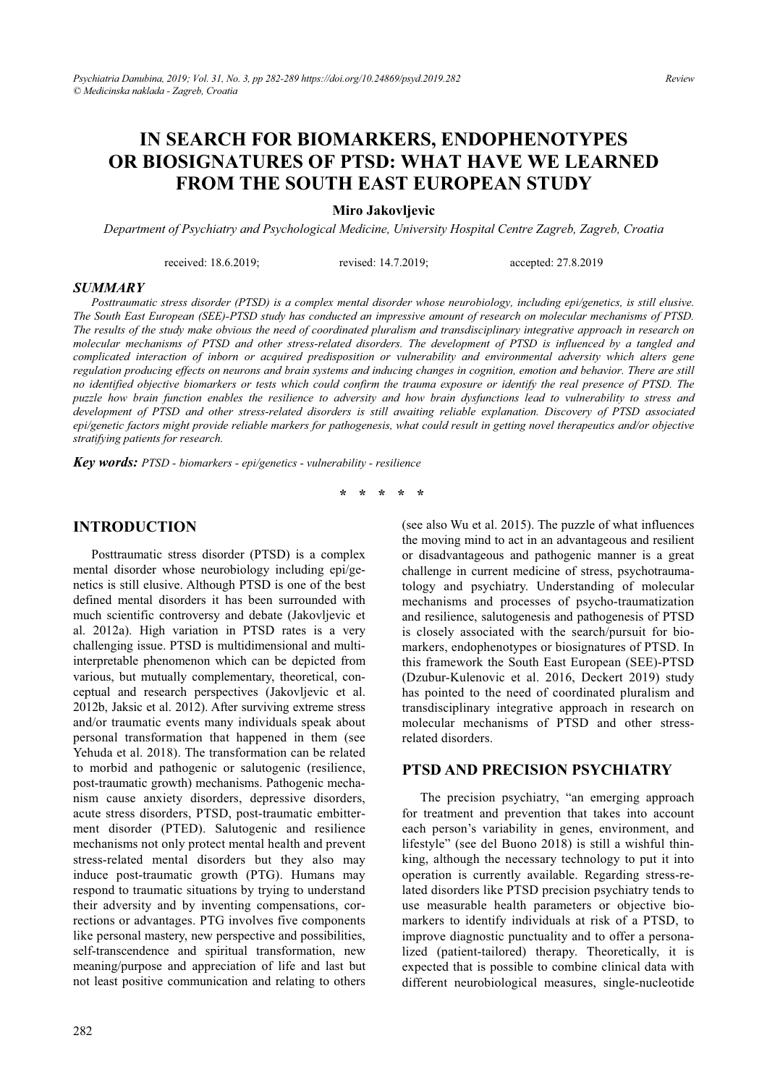# **IN SEARCH FOR BIOMARKERS, ENDOPHENOTYPES OR BIOSIGNATURES OF PTSD: WHAT HAVE WE LEARNED FROM THE SOUTH EAST EUROPEAN STUDY**

**Miro Jakovljevic** 

*Department of Psychiatry and Psychological Medicine, University Hospital Centre Zagreb, Zagreb, Croatia* 

received: 18.6.2019; revised: 14.7.2019; accepted: 27.8.2019

#### *SUMMARY*

*Posttraumatic stress disorder (PTSD) is a complex mental disorder whose neurobiology, including epi/genetics, is still elusive. The South East European (SEE)-PTSD study has conducted an impressive amount of research on molecular mechanisms of PTSD. The results of the study make obvious the need of coordinated pluralism and transdisciplinary integrative approach in research on molecular mechanisms of PTSD and other stress-related disorders. The development of PTSD is influenced by a tangled and complicated interaction of inborn or acquired predisposition or vulnerability and environmental adversity which alters gene regulation producing effects on neurons and brain systems and inducing changes in cognition, emotion and behavior. There are still no identified objective biomarkers or tests which could confirm the trauma exposure or identify the real presence of PTSD. The puzzle how brain function enables the resilience to adversity and how brain dysfunctions lead to vulnerability to stress and development of PTSD and other stress-related disorders is still awaiting reliable explanation. Discovery of PTSD associated epi/genetic factors might provide reliable markers for pathogenesis, what could result in getting novel therapeutics and/or objective stratifying patients for research.* 

*Key words: PTSD - biomarkers - epi/genetics - vulnerability - resilience* 

**\* \* \* \* \*** 

#### **INTRODUCTION**

Posttraumatic stress disorder (PTSD) is a complex mental disorder whose neurobiology including epi/genetics is still elusive. Although PTSD is one of the best defined mental disorders it has been surrounded with much scientific controversy and debate (Jakovljevic et al. 2012a). High variation in PTSD rates is a very challenging issue. PTSD is multidimensional and multiinterpretable phenomenon which can be depicted from various, but mutually complementary, theoretical, conceptual and research perspectives (Jakovljevic et al. 2012b, Jaksic et al. 2012). After surviving extreme stress and/or traumatic events many individuals speak about personal transformation that happened in them (see Yehuda et al. 2018). The transformation can be related to morbid and pathogenic or salutogenic (resilience, post-traumatic growth) mechanisms. Pathogenic mechanism cause anxiety disorders, depressive disorders, acute stress disorders, PTSD, post-traumatic embitterment disorder (PTED). Salutogenic and resilience mechanisms not only protect mental health and prevent stress-related mental disorders but they also may induce post-traumatic growth (PTG). Humans may respond to traumatic situations by trying to understand their adversity and by inventing compensations, corrections or advantages. PTG involves five components like personal mastery, new perspective and possibilities, self-transcendence and spiritual transformation, new meaning/purpose and appreciation of life and last but not least positive communication and relating to others (see also Wu et al. 2015). The puzzle of what influences the moving mind to act in an advantageous and resilient or disadvantageous and pathogenic manner is a great challenge in current medicine of stress, psychotraumatology and psychiatry. Understanding of molecular mechanisms and processes of psycho-traumatization and resilience, salutogenesis and pathogenesis of PTSD is closely associated with the search/pursuit for biomarkers, endophenotypes or biosignatures of PTSD. In this framework the South East European (SEE)-PTSD (Dzubur-Kulenovic et al. 2016, Deckert 2019) study has pointed to the need of coordinated pluralism and transdisciplinary integrative approach in research on molecular mechanisms of PTSD and other stressrelated disorders.

#### **PTSD AND PRECISION PSYCHIATRY**

The precision psychiatry, "an emerging approach for treatment and prevention that takes into account each person's variability in genes, environment, and lifestyle" (see del Buono 2018) is still a wishful thinking, although the necessary technology to put it into operation is currently available. Regarding stress-related disorders like PTSD precision psychiatry tends to use measurable health parameters or objective biomarkers to identify individuals at risk of a PTSD, to improve diagnostic punctuality and to offer a personalized (patient-tailored) therapy. Theoretically, it is expected that is possible to combine clinical data with different neurobiological measures, single-nucleotide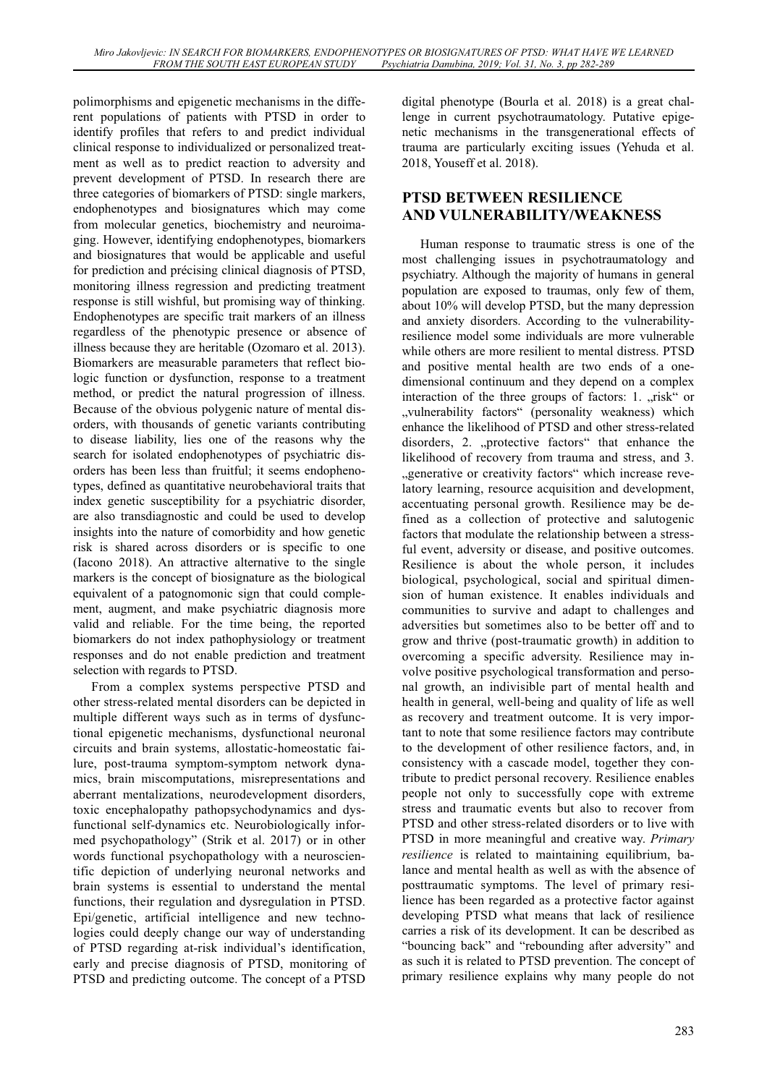polimorphisms and epigenetic mechanisms in the different populations of patients with PTSD in order to identify profiles that refers to and predict individual clinical response to individualized or personalized treatment as well as to predict reaction to adversity and prevent development of PTSD. In research there are three categories of biomarkers of PTSD: single markers, endophenotypes and biosignatures which may come from molecular genetics, biochemistry and neuroimaging. However, identifying endophenotypes, biomarkers and biosignatures that would be applicable and useful for prediction and précising clinical diagnosis of PTSD, monitoring illness regression and predicting treatment response is still wishful, but promising way of thinking. Endophenotypes are specific trait markers of an illness regardless of the phenotypic presence or absence of illness because they are heritable (Ozomaro et al. 2013). Biomarkers are measurable parameters that reflect biologic function or dysfunction, response to a treatment method, or predict the natural progression of illness. Because of the obvious polygenic nature of mental disorders, with thousands of genetic variants contributing to disease liability, lies one of the reasons why the search for isolated endophenotypes of psychiatric disorders has been less than fruitful; it seems endophenotypes, defined as quantitative neurobehavioral traits that index genetic susceptibility for a psychiatric disorder, are also transdiagnostic and could be used to develop insights into the nature of comorbidity and how genetic risk is shared across disorders or is specific to one (Iacono 2018). An attractive alternative to the single markers is the concept of biosignature as the biological equivalent of a patognomonic sign that could complement, augment, and make psychiatric diagnosis more valid and reliable. For the time being, the reported biomarkers do not index pathophysiology or treatment responses and do not enable prediction and treatment selection with regards to PTSD.

From a complex systems perspective PTSD and other stress-related mental disorders can be depicted in multiple different ways such as in terms of dysfunctional epigenetic mechanisms, dysfunctional neuronal circuits and brain systems, allostatic-homeostatic failure, post-trauma symptom-symptom network dynamics, brain miscomputations, misrepresentations and aberrant mentalizations, neurodevelopment disorders, toxic encephalopathy pathopsychodynamics and dysfunctional self-dynamics etc. Neurobiologically informed psychopathology" (Strik et al. 2017) or in other words functional psychopathology with a neuroscientific depiction of underlying neuronal networks and brain systems is essential to understand the mental functions, their regulation and dysregulation in PTSD. Epi/genetic, artificial intelligence and new technologies could deeply change our way of understanding of PTSD regarding at-risk individual's identification, early and precise diagnosis of PTSD, monitoring of PTSD and predicting outcome. The concept of a PTSD

digital phenotype (Bourla et al. 2018) is a great challenge in current psychotraumatology. Putative epigenetic mechanisms in the transgenerational effects of trauma are particularly exciting issues (Yehuda et al. 2018, Youseff et al. 2018).

# **PTSD BETWEEN RESILIENCE AND VULNERABILITY/WEAKNESS**

Human response to traumatic stress is one of the most challenging issues in psychotraumatology and psychiatry. Although the majority of humans in general population are exposed to traumas, only few of them, about 10% will develop PTSD, but the many depression and anxiety disorders. According to the vulnerabilityresilience model some individuals are more vulnerable while others are more resilient to mental distress. PTSD and positive mental health are two ends of a onedimensional continuum and they depend on a complex interaction of the three groups of factors: 1. "risk" or "vulnerability factors" (personality weakness) which enhance the likelihood of PTSD and other stress-related disorders, 2. "protective factors" that enhance the likelihood of recovery from trauma and stress, and 3. "generative or creativity factors" which increase revelatory learning, resource acquisition and development, accentuating personal growth. Resilience may be defined as a collection of protective and salutogenic factors that modulate the relationship between a stressful event, adversity or disease, and positive outcomes. Resilience is about the whole person, it includes biological, psychological, social and spiritual dimension of human existence. It enables individuals and communities to survive and adapt to challenges and adversities but sometimes also to be better off and to grow and thrive (post-traumatic growth) in addition to overcoming a specific adversity. Resilience may involve positive psychological transformation and personal growth, an indivisible part of mental health and health in general, well-being and quality of life as well as recovery and treatment outcome. It is very important to note that some resilience factors may contribute to the development of other resilience factors, and, in consistency with a cascade model, together they contribute to predict personal recovery. Resilience enables people not only to successfully cope with extreme stress and traumatic events but also to recover from PTSD and other stress-related disorders or to live with PTSD in more meaningful and creative way. *Primary resilience* is related to maintaining equilibrium, balance and mental health as well as with the absence of posttraumatic symptoms. The level of primary resilience has been regarded as a protective factor against developing PTSD what means that lack of resilience carries a risk of its development. It can be described as "bouncing back" and "rebounding after adversity" and as such it is related to PTSD prevention. The concept of primary resilience explains why many people do not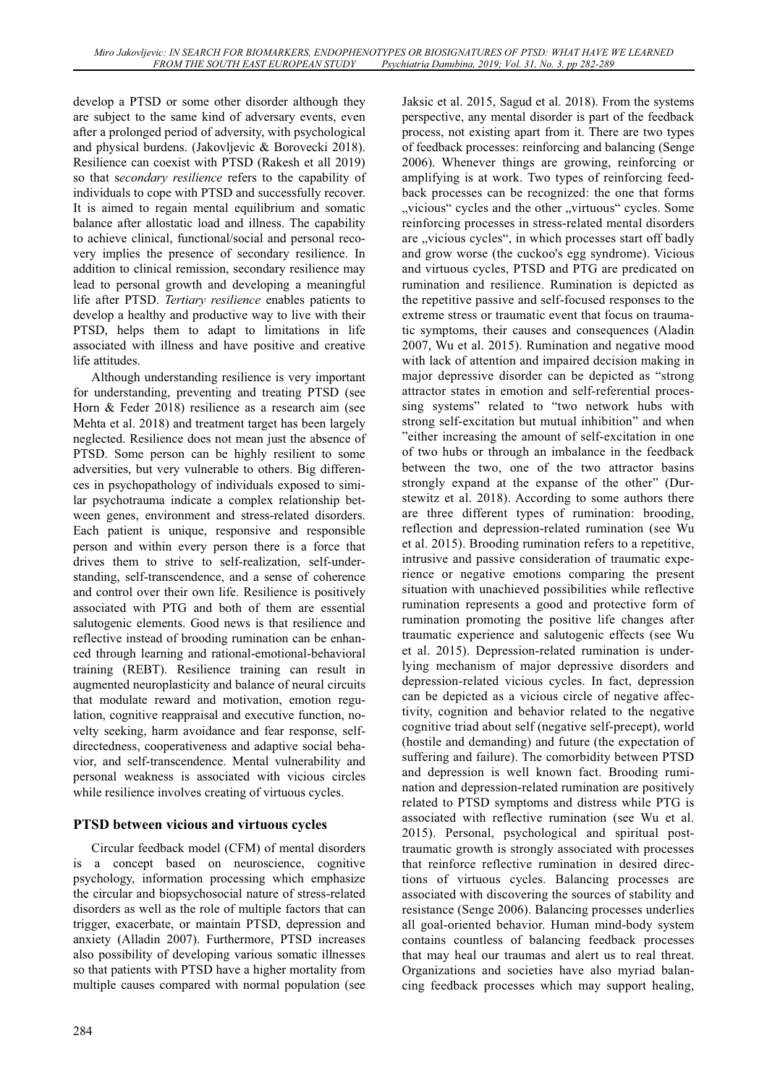develop a PTSD or some other disorder although they are subject to the same kind of adversary events, even after a prolonged period of adversity, with psychological and physical burdens. (Jakovljevic & Borovecki 2018). Resilience can coexist with PTSD (Rakesh et all 2019) so that s*econdary resilience* refers to the capability of individuals to cope with PTSD and successfully recover. It is aimed to regain mental equilibrium and somatic balance after allostatic load and illness. The capability to achieve clinical, functional/social and personal recovery implies the presence of secondary resilience. In addition to clinical remission, secondary resilience may lead to personal growth and developing a meaningful life after PTSD. *Tertiary resilience* enables patients to develop a healthy and productive way to live with their PTSD, helps them to adapt to limitations in life associated with illness and have positive and creative life attitudes.

Although understanding resilience is very important for understanding, preventing and treating PTSD (see Horn & Feder 2018) resilience as a research aim (see Mehta et al. 2018) and treatment target has been largely neglected. Resilience does not mean just the absence of PTSD. Some person can be highly resilient to some adversities, but very vulnerable to others. Big differences in psychopathology of individuals exposed to similar psychotrauma indicate a complex relationship between genes, environment and stress-related disorders. Each patient is unique, responsive and responsible person and within every person there is a force that drives them to strive to self-realization, self-understanding, self-transcendence, and a sense of coherence and control over their own life. Resilience is positively associated with PTG and both of them are essential salutogenic elements. Good news is that resilience and reflective instead of brooding rumination can be enhanced through learning and rational-emotional-behavioral training (REBT). Resilience training can result in augmented neuroplasticity and balance of neural circuits that modulate reward and motivation, emotion regulation, cognitive reappraisal and executive function, novelty seeking, harm avoidance and fear response, selfdirectedness, cooperativeness and adaptive social behavior, and self-transcendence. Mental vulnerability and personal weakness is associated with vicious circles while resilience involves creating of virtuous cycles.

### **PTSD between vicious and virtuous cycles**

Circular feedback model (CFM) of mental disorders is a concept based on neuroscience, cognitive psychology, information processing which emphasize the circular and biopsychosocial nature of stress-related disorders as well as the role of multiple factors that can trigger, exacerbate, or maintain PTSD, depression and anxiety (Alladin 2007). Furthermore, PTSD increases also possibility of developing various somatic illnesses so that patients with PTSD have a higher mortality from multiple causes compared with normal population (see

Jaksic et al. 2015, Sagud et al. 2018). From the systems perspective, any mental disorder is part of the feedback process, not existing apart from it. There are two types of feedback processes: reinforcing and balancing (Senge 2006). Whenever things are growing, reinforcing or amplifying is at work. Two types of reinforcing feedback processes can be recognized: the one that forms ", vicious" cycles and the other "virtuous" cycles. Some reinforcing processes in stress-related mental disorders are "vicious cycles", in which processes start off badly and grow worse (the cuckoo's egg syndrome). Vicious and virtuous cycles, PTSD and PTG are predicated on rumination and resilience. Rumination is depicted as the repetitive passive and self-focused responses to the extreme stress or traumatic event that focus on traumatic symptoms, their causes and consequences (Aladin 2007, Wu et al. 2015). Rumination and negative mood with lack of attention and impaired decision making in major depressive disorder can be depicted as "strong attractor states in emotion and self-referential processing systems" related to "two network hubs with strong self-excitation but mutual inhibition" and when "either increasing the amount of self-excitation in one of two hubs or through an imbalance in the feedback between the two, one of the two attractor basins strongly expand at the expanse of the other" (Durstewitz et al. 2018). According to some authors there are three different types of rumination: brooding, reflection and depression-related rumination (see Wu et al. 2015). Brooding rumination refers to a repetitive, intrusive and passive consideration of traumatic experience or negative emotions comparing the present situation with unachieved possibilities while reflective rumination represents a good and protective form of rumination promoting the positive life changes after traumatic experience and salutogenic effects (see Wu et al. 2015). Depression-related rumination is underlying mechanism of major depressive disorders and depression-related vicious cycles. In fact, depression can be depicted as a vicious circle of negative affectivity, cognition and behavior related to the negative cognitive triad about self (negative self-precept), world (hostile and demanding) and future (the expectation of suffering and failure). The comorbidity between PTSD and depression is well known fact. Brooding rumination and depression-related rumination are positively related to PTSD symptoms and distress while PTG is associated with reflective rumination (see Wu et al. 2015). Personal, psychological and spiritual posttraumatic growth is strongly associated with processes that reinforce reflective rumination in desired directions of virtuous cycles. Balancing processes are associated with discovering the sources of stability and resistance (Senge 2006). Balancing processes underlies all goal-oriented behavior. Human mind-body system contains countless of balancing feedback processes that may heal our traumas and alert us to real threat. Organizations and societies have also myriad balancing feedback processes which may support healing,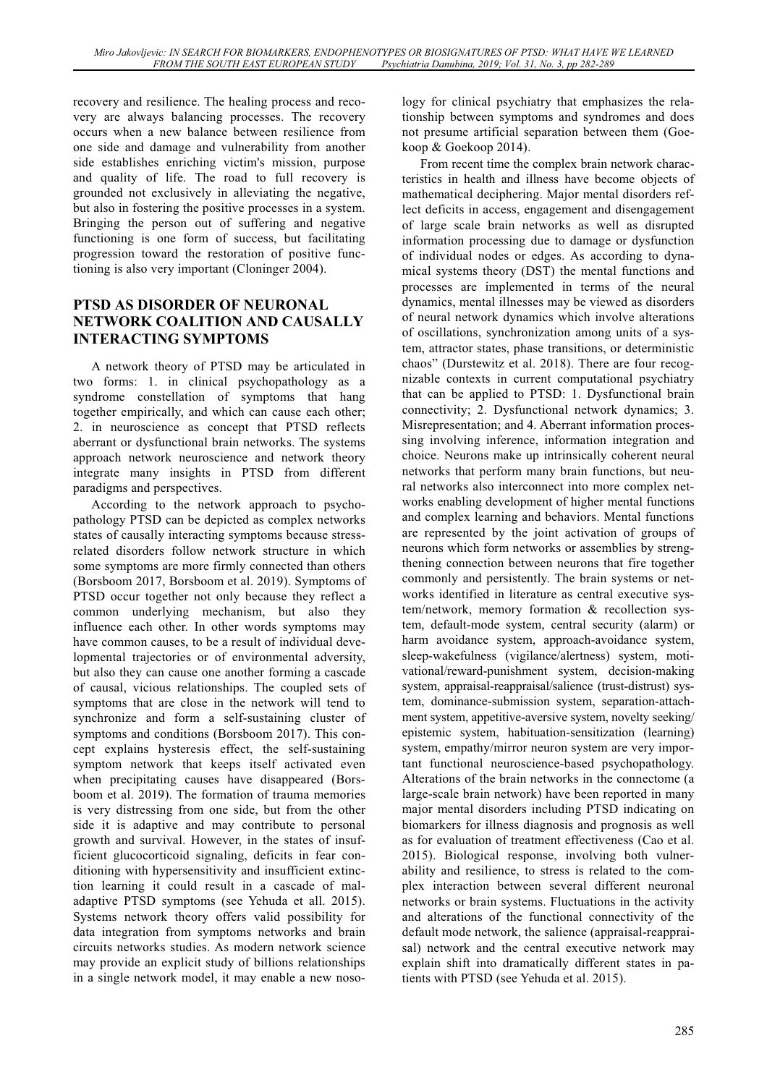recovery and resilience. The healing process and recovery are always balancing processes. The recovery occurs when a new balance between resilience from one side and damage and vulnerability from another side establishes enriching victim's mission, purpose and quality of life. The road to full recovery is grounded not exclusively in alleviating the negative, but also in fostering the positive processes in a system. Bringing the person out of suffering and negative functioning is one form of success, but facilitating progression toward the restoration of positive functioning is also very important (Cloninger 2004).

### **PTSD AS DISORDER OF NEURONAL NETWORK COALITION AND CAUSALLY INTERACTING SYMPTOMS**

A network theory of PTSD may be articulated in two forms: 1. in clinical psychopathology as a syndrome constellation of symptoms that hang together empirically, and which can cause each other; 2. in neuroscience as concept that PTSD reflects aberrant or dysfunctional brain networks. The systems approach network neuroscience and network theory integrate many insights in PTSD from different paradigms and perspectives.

According to the network approach to psychopathology PTSD can be depicted as complex networks states of causally interacting symptoms because stressrelated disorders follow network structure in which some symptoms are more firmly connected than others (Borsboom 2017, Borsboom et al. 2019). Symptoms of PTSD occur together not only because they reflect a common underlying mechanism, but also they influence each other. In other words symptoms may have common causes, to be a result of individual developmental trajectories or of environmental adversity, but also they can cause one another forming a cascade of causal, vicious relationships. The coupled sets of symptoms that are close in the network will tend to synchronize and form a self-sustaining cluster of symptoms and conditions (Borsboom 2017). This concept explains hysteresis effect, the self-sustaining symptom network that keeps itself activated even when precipitating causes have disappeared (Borsboom et al. 2019). The formation of trauma memories is very distressing from one side, but from the other side it is adaptive and may contribute to personal growth and survival. However, in the states of insufficient glucocorticoid signaling, deficits in fear conditioning with hypersensitivity and insufficient extinction learning it could result in a cascade of maladaptive PTSD symptoms (see Yehuda et all. 2015). Systems network theory offers valid possibility for data integration from symptoms networks and brain circuits networks studies. As modern network science may provide an explicit study of billions relationships in a single network model, it may enable a new nosology for clinical psychiatry that emphasizes the relationship between symptoms and syndromes and does not presume artificial separation between them (Goekoop & Goekoop 2014).

From recent time the complex brain network characteristics in health and illness have become objects of mathematical deciphering. Major mental disorders reflect deficits in access, engagement and disengagement of large scale brain networks as well as disrupted information processing due to damage or dysfunction of individual nodes or edges. As according to dynamical systems theory (DST) the mental functions and processes are implemented in terms of the neural dynamics, mental illnesses may be viewed as disorders of neural network dynamics which involve alterations of oscillations, synchronization among units of a system, attractor states, phase transitions, or deterministic chaos" (Durstewitz et al. 2018). There are four recognizable contexts in current computational psychiatry that can be applied to PTSD: 1. Dysfunctional brain connectivity; 2. Dysfunctional network dynamics; 3. Misrepresentation; and 4. Aberrant information processing involving inference, information integration and choice. Neurons make up intrinsically coherent neural networks that perform many brain functions, but neural networks also interconnect into more complex networks enabling development of higher mental functions and complex learning and behaviors. Mental functions are represented by the joint activation of groups of neurons which form networks or assemblies by strengthening connection between neurons that fire together commonly and persistently. The brain systems or networks identified in literature as central executive system/network, memory formation & recollection system, default-mode system, central security (alarm) or harm avoidance system, approach-avoidance system, sleep-wakefulness (vigilance/alertness) system, motivational/reward-punishment system, decision-making system, appraisal-reappraisal/salience (trust-distrust) system, dominance-submission system, separation-attachment system, appetitive-aversive system, novelty seeking/ epistemic system, habituation-sensitization (learning) system, empathy/mirror neuron system are very important functional neuroscience-based psychopathology. Alterations of the brain networks in the connectome (a large-scale brain network) have been reported in many major mental disorders including PTSD indicating on biomarkers for illness diagnosis and prognosis as well as for evaluation of treatment effectiveness (Cao et al. 2015). Biological response, involving both vulnerability and resilience, to stress is related to the complex interaction between several different neuronal networks or brain systems. Fluctuations in the activity and alterations of the functional connectivity of the default mode network, the salience (appraisal-reappraisal) network and the central executive network may explain shift into dramatically different states in patients with PTSD (see Yehuda et al. 2015).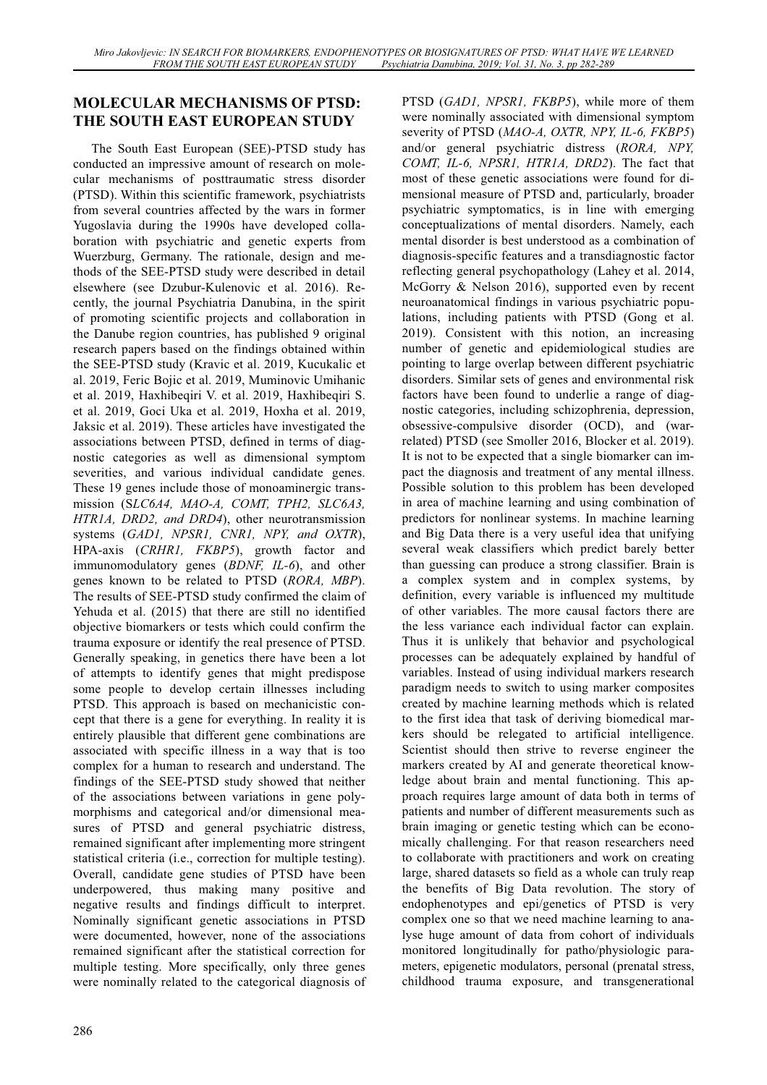# **MOLECULAR MECHANISMS OF PTSD: THE SOUTH EAST EUROPEAN STUDY**

The South East European (SEE)-PTSD study has conducted an impressive amount of research on molecular mechanisms of posttraumatic stress disorder (PTSD). Within this scientific framework, psychiatrists from several countries affected by the wars in former Yugoslavia during the 1990s have developed collaboration with psychiatric and genetic experts from Wuerzburg, Germany. The rationale, design and methods of the SEE-PTSD study were described in detail elsewhere (see Dzubur-Kulenovic et al. 2016). Recently, the journal Psychiatria Danubina, in the spirit of promoting scientific projects and collaboration in the Danube region countries, has published 9 original research papers based on the findings obtained within the SEE-PTSD study (Kravic et al. 2019, Kucukalic et al. 2019, Feric Bojic et al. 2019, Muminovic Umihanic et al. 2019, Haxhibeqiri V. et al. 2019, Haxhibeqiri S. et al. 2019, Goci Uka et al. 2019, Hoxha et al. 2019, Jaksic et al. 2019). These articles have investigated the associations between PTSD, defined in terms of diagnostic categories as well as dimensional symptom severities, and various individual candidate genes. These 19 genes include those of monoaminergic transmission (S*LC6A4, MAO-A, COMT, TPH2, SLC6A3, HTR1A, DRD2, and DRD4*), other neurotransmission systems (*GAD1, NPSR1, CNR1, NPY, and OXTR*), HPA-axis (*CRHR1, FKBP5*), growth factor and immunomodulatory genes (*BDNF, IL-6*), and other genes known to be related to PTSD (*RORA, MBP*). The results of SEE-PTSD study confirmed the claim of Yehuda et al. (2015) that there are still no identified objective biomarkers or tests which could confirm the trauma exposure or identify the real presence of PTSD. Generally speaking, in genetics there have been a lot of attempts to identify genes that might predispose some people to develop certain illnesses including PTSD. This approach is based on mechanicistic concept that there is a gene for everything. In reality it is entirely plausible that different gene combinations are associated with specific illness in a way that is too complex for a human to research and understand. The findings of the SEE-PTSD study showed that neither of the associations between variations in gene polymorphisms and categorical and/or dimensional measures of PTSD and general psychiatric distress, remained significant after implementing more stringent statistical criteria (i.e., correction for multiple testing). Overall, candidate gene studies of PTSD have been underpowered, thus making many positive and negative results and findings difficult to interpret. Nominally significant genetic associations in PTSD were documented, however, none of the associations remained significant after the statistical correction for multiple testing. More specifically, only three genes were nominally related to the categorical diagnosis of

286

PTSD (*GAD1, NPSR1, FKBP5*), while more of them were nominally associated with dimensional symptom severity of PTSD (*MAO-A, OXTR, NPY, IL-6, FKBP5*) and/or general psychiatric distress (*RORA, NPY, COMT, IL-6, NPSR1, HTR1A, DRD2*). The fact that most of these genetic associations were found for dimensional measure of PTSD and, particularly, broader psychiatric symptomatics, is in line with emerging conceptualizations of mental disorders. Namely, each mental disorder is best understood as a combination of diagnosis-specific features and a transdiagnostic factor reflecting general psychopathology (Lahey et al. 2014, McGorry & Nelson 2016), supported even by recent neuroanatomical findings in various psychiatric populations, including patients with PTSD (Gong et al. 2019). Consistent with this notion, an increasing number of genetic and epidemiological studies are pointing to large overlap between different psychiatric disorders. Similar sets of genes and environmental risk factors have been found to underlie a range of diagnostic categories, including schizophrenia, depression, obsessive-compulsive disorder (OCD), and (warrelated) PTSD (see Smoller 2016, Blocker et al. 2019). It is not to be expected that a single biomarker can impact the diagnosis and treatment of any mental illness. Possible solution to this problem has been developed in area of machine learning and using combination of predictors for nonlinear systems. In machine learning and Big Data there is a very useful idea that unifying several weak classifiers which predict barely better than guessing can produce a strong classifier. Brain is a complex system and in complex systems, by definition, every variable is influenced my multitude of other variables. The more causal factors there are the less variance each individual factor can explain. Thus it is unlikely that behavior and psychological processes can be adequately explained by handful of variables. Instead of using individual markers research paradigm needs to switch to using marker composites created by machine learning methods which is related to the first idea that task of deriving biomedical markers should be relegated to artificial intelligence. Scientist should then strive to reverse engineer the markers created by AI and generate theoretical knowledge about brain and mental functioning. This approach requires large amount of data both in terms of patients and number of different measurements such as brain imaging or genetic testing which can be economically challenging. For that reason researchers need to collaborate with practitioners and work on creating large, shared datasets so field as a whole can truly reap the benefits of Big Data revolution. The story of endophenotypes and epi/genetics of PTSD is very complex one so that we need machine learning to analyse huge amount of data from cohort of individuals monitored longitudinally for patho/physiologic parameters, epigenetic modulators, personal (prenatal stress, childhood trauma exposure, and transgenerational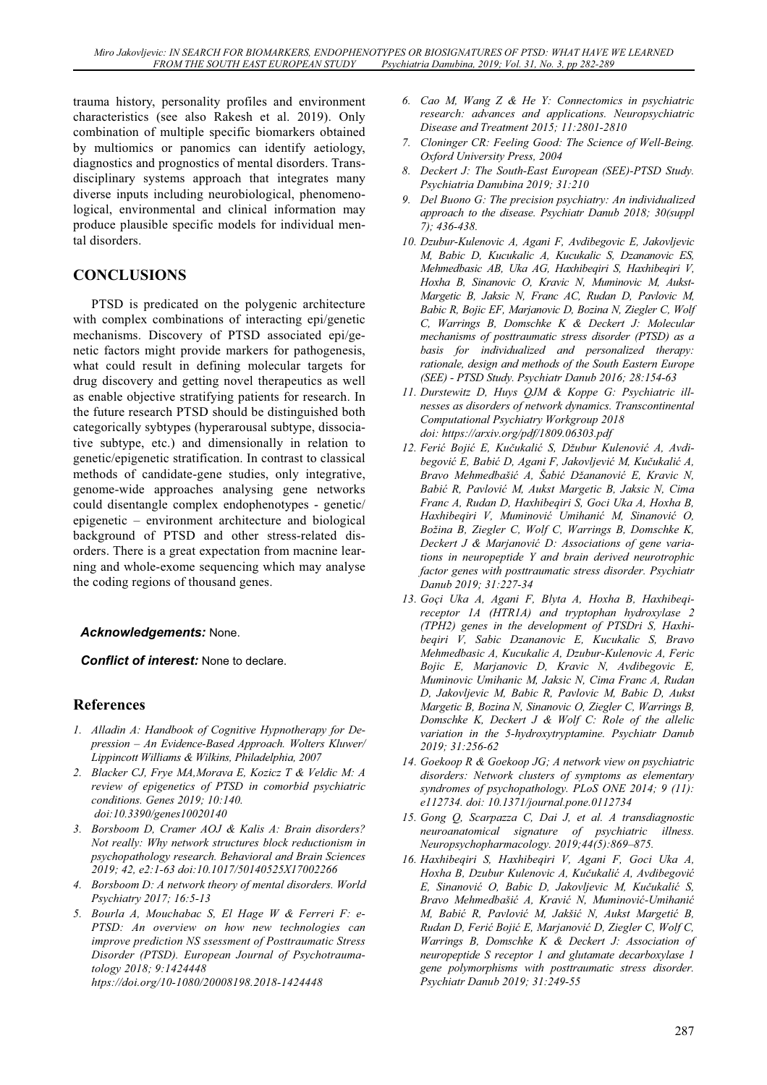trauma history, personality profiles and environment characteristics (see also Rakesh et al. 2019). Only combination of multiple specific biomarkers obtained by multiomics or panomics can identify aetiology, diagnostics and prognostics of mental disorders. Transdisciplinary systems approach that integrates many diverse inputs including neurobiological, phenomenological, environmental and clinical information may produce plausible specific models for individual mental disorders.

# **CONCLUSIONS**

PTSD is predicated on the polygenic architecture with complex combinations of interacting epi/genetic mechanisms. Discovery of PTSD associated epi/genetic factors might provide markers for pathogenesis, what could result in defining molecular targets for drug discovery and getting novel therapeutics as well as enable objective stratifying patients for research. In the future research PTSD should be distinguished both categorically sybtypes (hyperarousal subtype, dissociative subtype, etc.) and dimensionally in relation to genetic/epigenetic stratification. In contrast to classical methods of candidate-gene studies, only integrative, genome-wide approaches analysing gene networks could disentangle complex endophenotypes - genetic/ epigenetic – environment architecture and biological background of PTSD and other stress-related disorders. There is a great expectation from macnine learning and whole-exome sequencing which may analyse the coding regions of thousand genes.

#### *Acknowledgements:* None.

*Conflict of interest:* None to declare.

### **References**

- *1. Alladin A: Handbook of Cognitive Hypnotherapy for Depression – An Evidence-Based Approach. Wolters Kluwer/ Lippincott Williams & Wilkins, Philadelphia, 2007*
- *2. Blacker CJ, Frye MA,Morava E, Kozicz T & Veldic M: A review of epigenetics of PTSD in comorbid psychiatric conditions. Genes 2019; 10:140. doi:10.3390/genes10020140*
- *3. Borsboom D, Cramer AOJ & Kalis A: Brain disorders? Not really: Why network structures block reductionism in psychopathology research. Behavioral and Brain Sciences 2019; 42, e2:1-63 doi:10.1017/50140525X17002266*
- *4. Borsboom D: A network theory of mental disorders. World Psychiatry 2017; 16:5-13*
- *5. Bourla A, Mouchabac S, El Hage W & Ferreri F: e-PTSD: An overview on how new technologies can improve prediction NS ssessment of Posttraumatic Stress Disorder (PTSD). European Journal of Psychotraumatology 2018; 9:1424448*

*htps://doi.org/10-1080/20008198.2018-1424448* 

- *6. Cao M, Wang Z & He Y: Connectomics in psychiatric research: advances and applications. Neuropsychiatric Disease and Treatment 2015; 11:2801-2810*
- *7. Cloninger CR: Feeling Good: The Science of Well-Being. Oxford University Press, 2004*
- *8. Deckert J: The South-East European (SEE)-PTSD Study. Psychiatria Danubina 2019; 31:210*
- *9. Del Buono G: The precision psychiatry: An individualized approach to the disease. Psychiatr Danub 2018; 30(suppl 7); 436-438.*
- *10. Dzubur-Kulenovic A, Agani F, Avdibegovic E, Jakovljevic M, Babic D, Kucukalic A, Kucukalic S, Dzananovic ES, Mehmedbasic AB, Uka AG, Haxhibeqiri S, Haxhibeqiri V, Hoxha B, Sinanovic O, Kravic N, Muminovic M, Aukst-Margetic B, Jaksic N, Franc AC, Rudan D, Pavlovic M, Babic R, Bojic EF, Marjanovic D, Bozina N, Ziegler C, Wolf C, Warrings B, Domschke K & Deckert J: Molecular mechanisms of posttraumatic stress disorder (PTSD) as a basis for individualized and personalized therapy: rationale, design and methods of the South Eastern Europe (SEE) - PTSD Study. Psychiatr Danub 2016; 28:154-63*
- *11. Durstewitz D, Huys QJM & Koppe G: Psychiatric illnesses as disorders of network dynamics. Transcontinental Computational Psychiatry Workgroup 2018 doi: https://arxiv.org/pdf/1809.06303.pdf*
- *12. Feriü Bojiü E, Kuþukaliü S, Džubur Kulenoviü A, Avdibegoviü E, Babiü D, Agani F, Jakovljeviü M, Kuþukaliü A, Bravo Mehmedbašiü A, Šabiü Džananoviü E, Kravic N, Babiü R, Pavloviü M, Aukst Margetic B, Jaksic N, Cima Franc A, Rudan D, Haxhibeqiri S, Goci Uka A, Hoxha B, Haxhibeqiri V, Muminoviü Umihaniü M, Sinanoviü O, Božina B, Ziegler C, Wolf C, Warrings B, Domschke K,*  Deckert *J & Marjanović D: Associations of gene variations in neuropeptide Y and brain derived neurotrophic factor genes with posttraumatic stress disorder. Psychiatr Danub 2019; 31:227-34*
- *13. Goçi Uka A, Agani F, Blyta A, Hoxha B, Haxhibeqireceptor 1A (HTR1A) and tryptophan hydroxylase 2 (TPH2) genes in the development of PTSDri S, Haxhibeqiri V, Sabic Dzananovic E, Kucukalic S, Bravo Mehmedbasic A, Kucukalic A, Dzubur-Kulenovic A, Feric Bojic E, Marjanovic D, Kravic N, Avdibegovic E, Muminovic Umihanic M, Jaksic N, Cima Franc A, Rudan D, Jakovljevic M, Babic R, Pavlovic M, Babic D, Aukst Margetic B, Bozina N, Sinanovic O, Ziegler C, Warrings B, Domschke K, Deckert J & Wolf C: Role of the allelic variation in the 5-hydroxytryptamine. Psychiatr Danub 2019; 31:256-62*
- *14. Goekoop R & Goekoop JG; A network view on psychiatric disorders: Network clusters of symptoms as elementary syndromes of psychopathology. PLoS ONE 2014; 9 (11): e112734. doi: 10.1371/journal.pone.0112734*
- *15. Gong Q, Scarpazza C, Dai J, et al. A transdiagnostic neuroanatomical signature of psychiatric illness. Neuropsychopharmacology. 2019;44(5):869–875.*
- *16. Haxhibeqiri S, Haxhibeqiri V, Agani F, Goci Uka A, Hoxha B, Dzubur Kulenovic A, Kuþukaliü A, Avdibegoviü E, Sinanoviü O, Babic D, Jakovljevic M, Kuþukaliü S, Bravo Mehmedbašiü A, Kraviü N, Muminoviü-Umihaniü M, Babiü R, Pavloviü M, Jakšiü N, Aukst Margetiü B, Rudan D, Feriü Bojiü E, Marjanoviü D, Ziegler C, Wolf C, Warrings B, Domschke K & Deckert J: Association of neuropeptide S receptor 1 and glutamate decarboxylase 1 gene polymorphisms with posttraumatic stress disorder. Psychiatr Danub 2019; 31:249-55*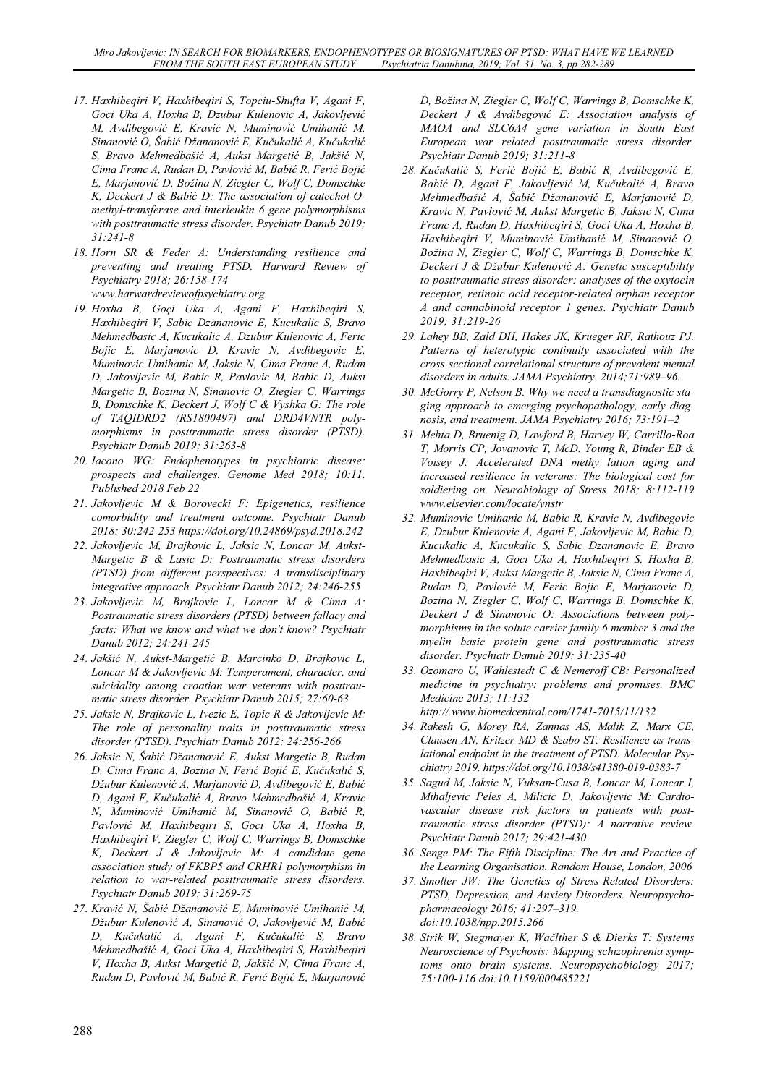- *17. Haxhibeqiri V, Haxhibeqiri S, Topciu-Shufta V, Agani F, Goci Uka A, Hoxha B, Dzubur Kulenovic A, Jakovljeviü M, Avdibegoviü E, Kraviü N, Muminoviü Umihaniü M, Sinanoviü O, Šabiü Džananoviü E, Kuþukaliü A, Kuþukaliü S, Bravo Mehmedbašiü A, Aukst Margetiü B, Jakšiü N, Cima Franc A, Rudan D, Pavloviü M, Babiü R, Feriü Bojiü E, Marjanoviü D, Božina N, Ziegler C, Wolf C, Domschke K, Deckert J & Babiü D: The association of catechol-Omethyl-transferase and interleukin 6 gene polymorphisms with posttraumatic stress disorder. Psychiatr Danub 2019; 31:241-8*
- *18. Horn SR & Feder A: Understanding resilience and preventing and treating PTSD. Harward Review of Psychiatry 2018; 26:158-174 www.harwardreviewofpsychiatry.org*
- *19. Hoxha B, Goçi Uka A, Agani F, Haxhibeqiri S, Haxhibeqiri V, Sabic Dzananovic E, Kucukalic S, Bravo Mehmedbasic A, Kucukalic A, Dzubur Kulenovic A, Feric Bojic E, Marjanovic D, Kravic N, Avdibegovic E, Muminovic Umihanic M, Jaksic N, Cima Franc A, Rudan D, Jakovljevic M, Babic R, Pavlovic M, Babic D, Aukst Margetic B, Bozina N, Sinanovic O, Ziegler C, Warrings B, Domschke K, Deckert J, Wolf C & Vyshka G: The role of TAQIDRD2 (RS1800497) and DRD4VNTR polymorphisms in posttraumatic stress disorder (PTSD). Psychiatr Danub 2019; 31:263-8*
- *20. Iacono WG: Endophenotypes in psychiatric disease: prospects and challenges. Genome Med 2018; 10:11. Published 2018 Feb 22*
- *21. Jakovljevic M & Borovecki F: Epigenetics, resilience comorbidity and treatment outcome. Psychiatr Danub 2018: 30:242-253 https://doi.org/10.24869/psyd.2018.242*
- *22. Jakovljevic M, Brajkovic L, Jaksic N, Loncar M, Aukst-Margetic B & Lasic D: Postraumatic stress disorders (PTSD) from different perspectives: A transdisciplinary integrative approach. Psychiatr Danub 2012; 24:246-255*
- *23. Jakovljevic M, Brajkovic L, Loncar M & Cima A: Postraumatic stress disorders (PTSD) between fallacy and facts: What we know and what we don't know? Psychiatr Danub 2012; 24:241-245*
- *24. Jakšiü N, Aukst-Margetiü B, Marcinko D, Brajkovic L, Loncar M & Jakovljevic M: Temperament, character, and suicidality among croatian war veterans with posttraumatic stress disorder. Psychiatr Danub 2015; 27:60-63*
- *25. Jaksic N, Brajkovic L, Ivezic E, Topic R & Jakovljevíc M: The role of personality traits in posttraumatic stress disorder (PTSD). Psychiatr Danub 2012; 24:256-266*
- *26. Jaksic N, Šabiü Džananoviü E, Aukst Margetic B, Rudan D, Cima Franc A, Bozina N, Feriü Bojiü E, Kuþukaliü S, Džubur Kulenoviü A, Marjanoviü D, Avdibegoviü E, Babiü D, Agani F, Kuþukaliü A, Bravo Mehmedbašiü A, Kravic N, Muminoviü Umihaniü M, Sinanoviü O, Babiü R, Pavloviü M, Haxhibeqiri S, Goci Uka A, Hoxha B, Haxhibeqiri V, Ziegler C, Wolf C, Warrings B, Domschke K, Deckert J & Jakovljevic M: A candidate gene association study of FKBP5 and CRHR1 polymorphism in relation to war-related posttraumatic stress disorders. Psychiatr Danub 2019; 31:269-75*
- *27. Kraviü N, Šabiü Džananoviü E, Muminoviü Umihaniü M, Džubur Kulenoviü A, Sinanoviü O, Jakovljeviü M, Babiü D, Kuþukaliü A, Agani F, Kuþukaliü S, Bravo Mehmedbašiü A, Goci Uka A, Haxhibeqiri S, Haxhibeqiri V, Hoxha B, Aukst Margetiü B, Jakšiü N, Cima Franc A, Rudan D, Pavloviü M, Babiü R, Feriü Bojiü E, Marjanoviü*

*D, Božina N, Ziegler C, Wolf C, Warrings B, Domschke K, Deckert J & Avdibegoviü E: Association analysis of MAOA and SLC6A4 gene variation in South East European war related posttraumatic stress disorder. Psychiatr Danub 2019; 31:211-8* 

- *28. Kuþukaliü S, Feriü Bojiü E, Babiü R, Avdibegoviü E, Babiü D, Agani F, Jakovljeviü M, Kuþukaliü A, Bravo Mehmedbašiü A, Šabiü Džananoviü E, Marjanoviü D, Kravic N, Pavloviü M, Aukst Margetic B, Jaksic N, Cima Franc A, Rudan D, Haxhibeqiri S, Goci Uka A, Hoxha B, Haxhibeqiri V, Muminoviü Umihaniü M, Sinanoviü O, Božina N, Ziegler C, Wolf C, Warrings B, Domschke K, Deckert J & Džubur Kulenoviü A: Genetic susceptibility to posttraumatic stress disorder: analyses of the oxytocin receptor, retinoic acid receptor-related orphan receptor A and cannabinoid receptor 1 genes. Psychiatr Danub 2019; 31:219-26*
- *29. Lahey BB, Zald DH, Hakes JK, Krueger RF, Rathouz PJ. Patterns of heterotypic continuity associated with the cross-sectional correlational structure of prevalent mental disorders in adults. JAMA Psychiatry. 2014;71:989–96.*
- *30. McGorry P, Nelson B. Why we need a transdiagnostic staging approach to emerging psychopathology, early diagnosis, and treatment. JAMA Psychiatry 2016; 73:191–2*
- *31. Mehta D, Bruenig D, Lawford B, Harvey W, Carrillo-Roa T, Morris CP, Jovanovic T, McD. Young R, Binder EB & Voisey J: Accelerated DNA methy lation aging and increased resilience in veterans: The biological cost for soldiering on. Neurobiology of Stress 2018; 8:112-119 www.elsevier.com/locate/ynstr*
- *32. Muminovic Umihanic M, Babic R, Kravic N, Avdibegovic E, Dzubur Kulenovic A, Agani F, Jakovljevic M, Babic D, Kucukalic A, Kucukalic S, Sabic Dzananovic E, Bravo Mehmedbasic A, Goci Uka A, Haxhibeqiri S, Hoxha B, Haxhibeqiri V, Aukst Margetic B, Jaksic N, Cima Franc A, Rudan D, Pavloviü M, Feric Bojic E, Marjanovic D, Bozina N, Ziegler C, Wolf C, Warrings B, Domschke K, Deckert J & Sinanovic O: Associations between polymorphisms in the solute carrier family 6 member 3 and the myelin basic protein gene and posttraumatic stress disorder. Psychiatr Danub 2019; 31:235-40*
- *33. Ozomaro U, Wahlestedt C & Nemeroff CB: Personalized medicine in psychiatry: problems and promises. BMC Medicine 2013; 11:132 http://.www.biomedcentral.com/1741-7015/11/132*
- *34. Rakesh G, Morey RA, Zannas AS, Malik Z, Marx CE, Clausen AN, Kritzer MD & Szabo ST: Resilience as translational endpoint in the treatment of PTSD. Molecular Psychiatry 2019. https://doi.org/10.1038/s41380-019-0383-7*
- *35. Sagud M, Jaksic N, Vuksan-Cusa B, Loncar M, Loncar I, Mihaljevic Peles A, Milicic D, Jakovljevic M: Cardiovascular disease risk factors in patients with posttraumatic stress disorder (PTSD): A narrative review. Psychiatr Danub 2017; 29:421-430*
- *36. Senge PM: The Fifth Discipline: The Art and Practice of the Learning Organisation. Random House, London, 2006*
- *37. Smoller JW: The Genetics of Stress-Related Disorders: PTSD, Depression, and Anxiety Disorders. Neuropsychopharmacology 2016; 41:297–319. doi:10.1038/npp.2015.266*
- *38. Strik W, Stegmayer K, Waþlther S & Dierks T: Systems Neuroscience of Psychosis: Mapping schizophrenia symptoms onto brain systems. Neuropsychobiology 2017; 75:100-116 doi:10.1159/000485221*